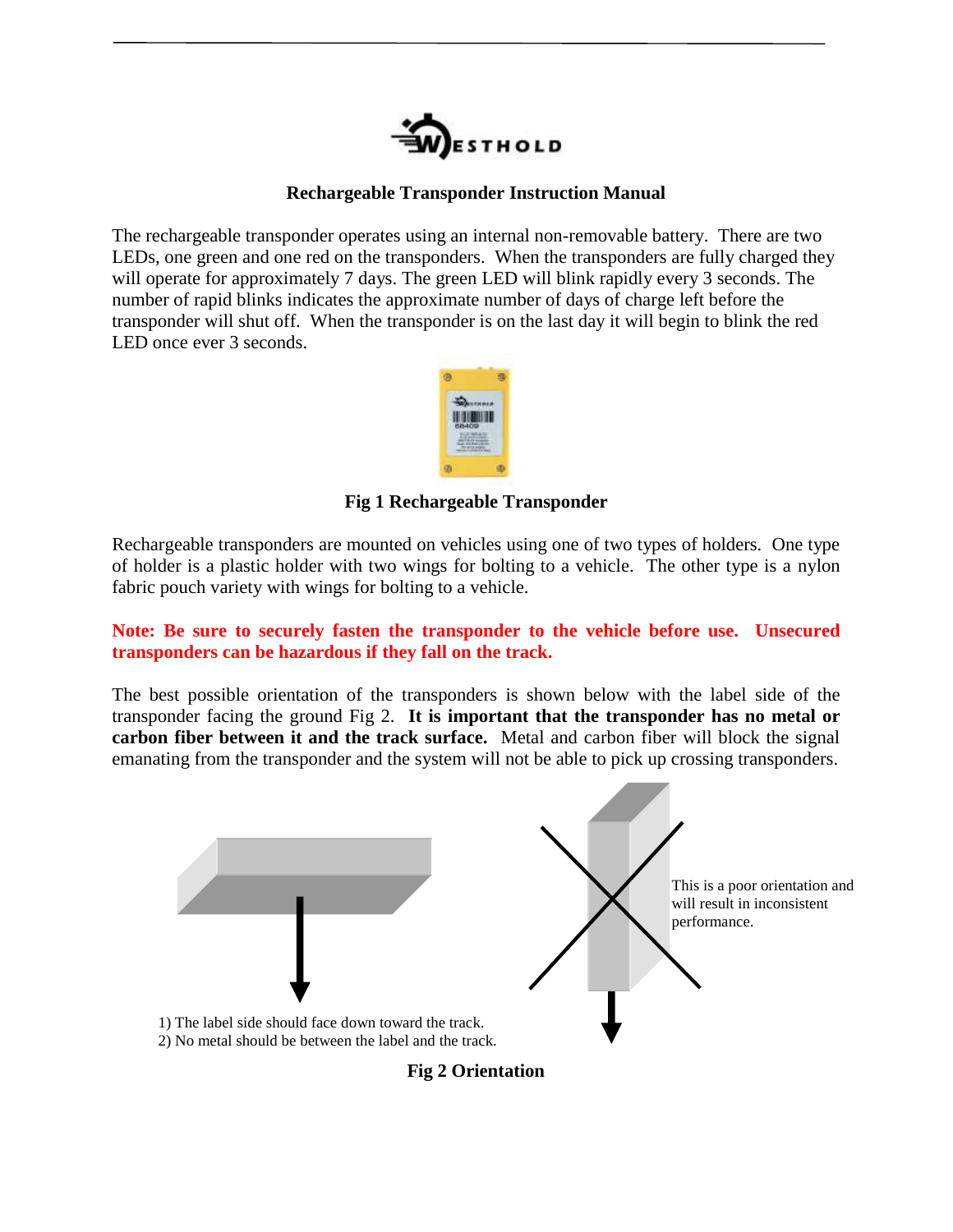

## **Rechargeable Transponder Instruction Manual**

The rechargeable transponder operates using an internal non-removable battery. There are two LEDs, one green and one red on the transponders. When the transponders are fully charged they will operate for approximately 7 days. The green LED will blink rapidly every 3 seconds. The number of rapid blinks indicates the approximate number of days of charge left before the transponder will shut off. When the transponder is on the last day it will begin to blink the red LED once ever 3 seconds.



### **Fig 1 Rechargeable Transponder**

Rechargeable transponders are mounted on vehicles using one of two types of holders. One type of holder is a plastic holder with two wings for bolting to a vehicle. The other type is a nylon fabric pouch variety with wings for bolting to a vehicle.

## **Note: Be sure to securely fasten the transponder to the vehicle before use. Unsecured transponders can be hazardous if they fall on the track.**

The best possible orientation of the transponders is shown below with the label side of the transponder facing the ground Fig 2. **It is important that the transponder has no metal or carbon fiber between it and the track surface.** Metal and carbon fiber will block the signal emanating from the transponder and the system will not be able to pick up crossing transponders.



**Fig 2 Orientation**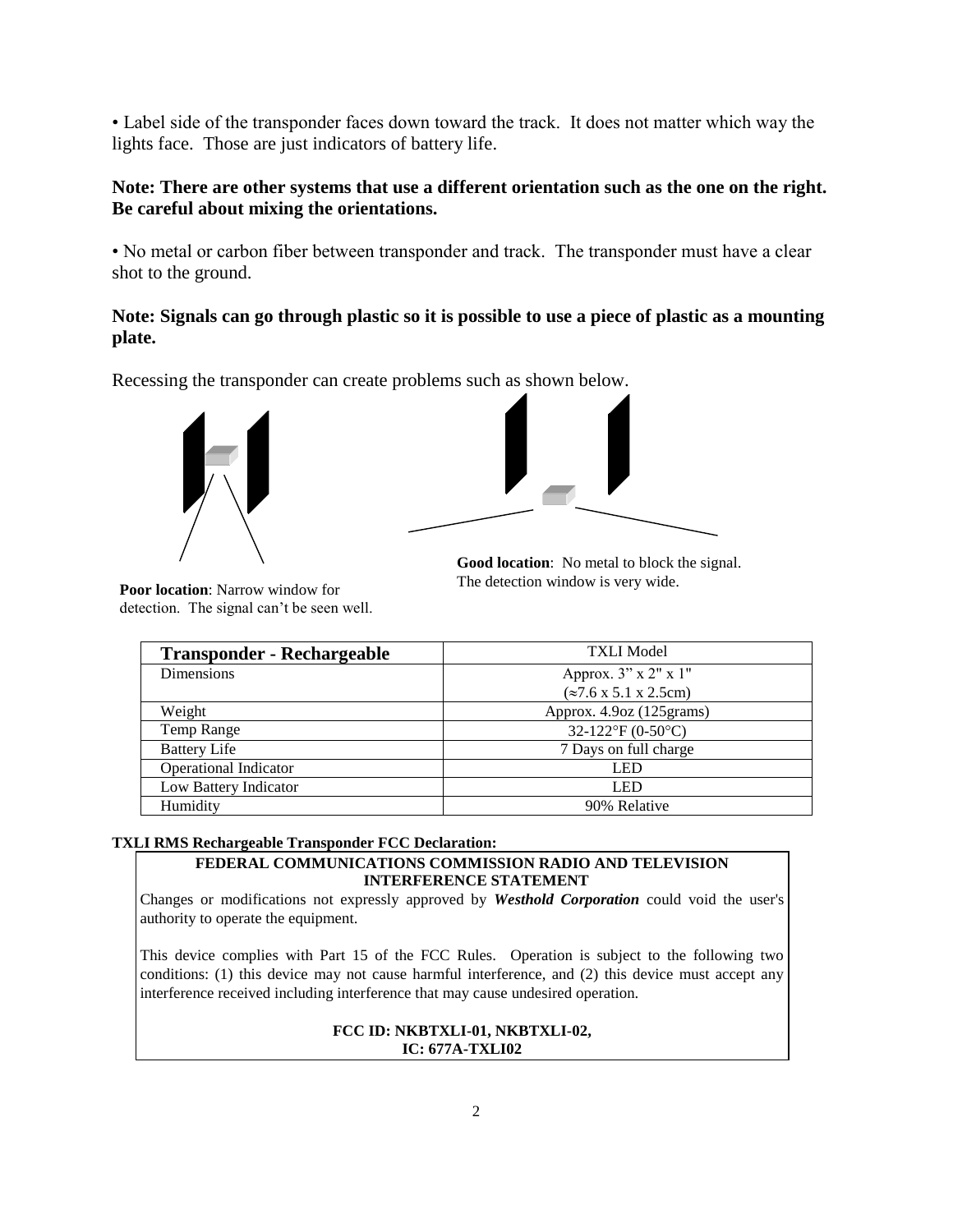• Label side of the transponder faces down toward the track. It does not matter which way the lights face. Those are just indicators of battery life.

#### **Note: There are other systems that use a different orientation such as the one on the right. Be careful about mixing the orientations.**

• No metal or carbon fiber between transponder and track. The transponder must have a clear shot to the ground.

## **Note: Signals can go through plastic so it is possible to use a piece of plastic as a mounting plate.**

Recessing the transponder can create problems such as shown below.



**Poor location**: Narrow window for detection. The signal can't be seen well.



**Good location**: No metal to block the signal. The detection window is very wide.

| <b>Transponder - Rechargeable</b> | <b>TXLI Model</b>                               |
|-----------------------------------|-------------------------------------------------|
| <b>Dimensions</b>                 | Approx. 3" x 2" x 1"                            |
|                                   | $(\approx 7.6 \times 5.1 \times 2.5 \text{cm})$ |
| Weight                            | Approx. 4.9oz (125 grams)                       |
| Temp Range                        | 32-122°F (0-50°C)                               |
| <b>Battery Life</b>               | 7 Days on full charge                           |
| <b>Operational Indicator</b>      | <b>LED</b>                                      |
| Low Battery Indicator             | <b>LED</b>                                      |
| Humidity                          | 90% Relative                                    |

#### **TXLI RMS Rechargeable Transponder FCC Declaration:**

#### **FEDERAL COMMUNICATIONS COMMISSION RADIO AND TELEVISION INTERFERENCE STATEMENT**

Changes or modifications not expressly approved by *Westhold Corporation* could void the user's authority to operate the equipment.

This device complies with Part 15 of the FCC Rules. Operation is subject to the following two conditions: (1) this device may not cause harmful interference, and (2) this device must accept any interference received including interference that may cause undesired operation.

#### **FCC ID: NKBTXLI-01, NKBTXLI-02, IC: 677A-TXLI02**